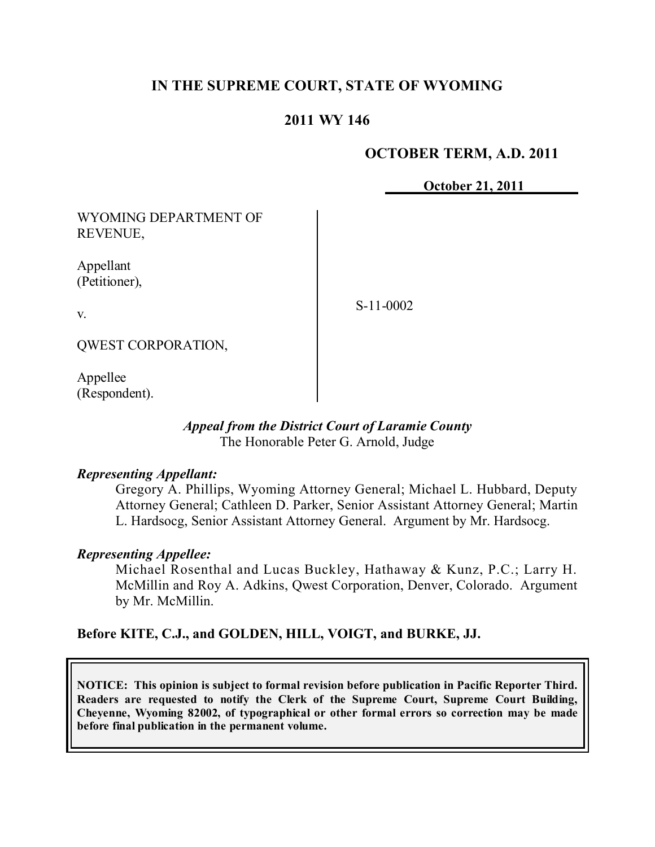# **IN THE SUPREME COURT, STATE OF WYOMING**

## **2011 WY 146**

#### **OCTOBER TERM, A.D. 2011**

**October 21, 2011**

WYOMING DEPARTMENT OF REVENUE,

Appellant (Petitioner),

v.

S-11-0002

QWEST CORPORATION,

Appellee (Respondent).

#### *Appeal from the District Court of Laramie County* The Honorable Peter G. Arnold, Judge

#### *Representing Appellant:*

Gregory A. Phillips, Wyoming Attorney General; Michael L. Hubbard, Deputy Attorney General; Cathleen D. Parker, Senior Assistant Attorney General; Martin L. Hardsocg, Senior Assistant Attorney General. Argument by Mr. Hardsocg.

#### *Representing Appellee:*

Michael Rosenthal and Lucas Buckley, Hathaway & Kunz, P.C.; Larry H. McMillin and Roy A. Adkins, Qwest Corporation, Denver, Colorado. Argument by Mr. McMillin.

## **Before KITE, C.J., and GOLDEN, HILL, VOIGT, and BURKE, JJ.**

**NOTICE: This opinion is subject to formal revision before publication in Pacific Reporter Third. Readers are requested to notify the Clerk of the Supreme Court, Supreme Court Building, Cheyenne, Wyoming 82002, of typographical or other formal errors so correction may be made before final publication in the permanent volume.**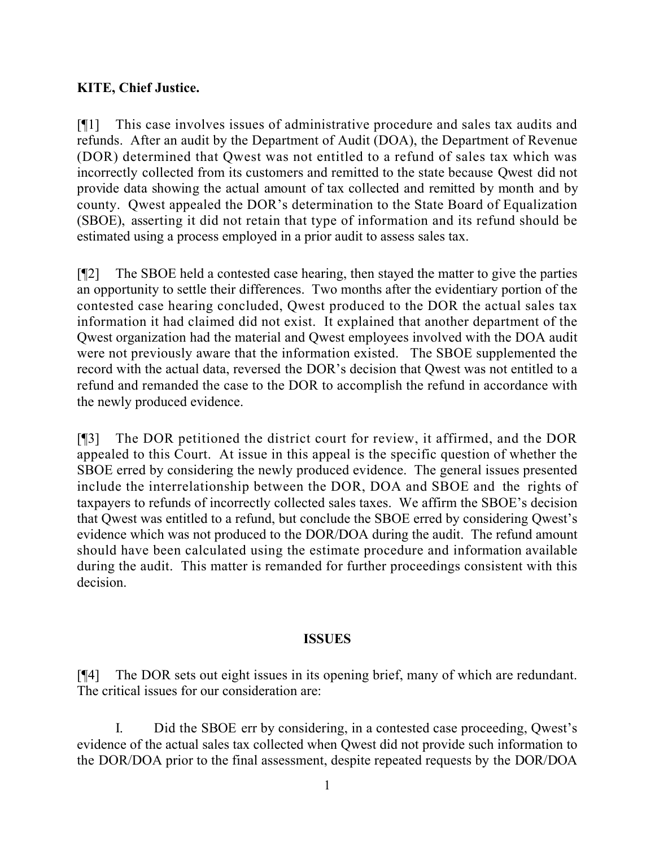# **KITE, Chief Justice.**

[¶1] This case involves issues of administrative procedure and sales tax audits and refunds. After an audit by the Department of Audit (DOA), the Department of Revenue (DOR) determined that Qwest was not entitled to a refund of sales tax which was incorrectly collected from its customers and remitted to the state because Qwest did not provide data showing the actual amount of tax collected and remitted by month and by county. Qwest appealed the DOR's determination to the State Board of Equalization (SBOE), asserting it did not retain that type of information and its refund should be estimated using a process employed in a prior audit to assess sales tax.

[¶2] The SBOE held a contested case hearing, then stayed the matter to give the parties an opportunity to settle their differences. Two months after the evidentiary portion of the contested case hearing concluded, Qwest produced to the DOR the actual sales tax information it had claimed did not exist. It explained that another department of the Qwest organization had the material and Qwest employees involved with the DOA audit were not previously aware that the information existed. The SBOE supplemented the record with the actual data, reversed the DOR's decision that Qwest was not entitled to a refund and remanded the case to the DOR to accomplish the refund in accordance with the newly produced evidence.

[¶3] The DOR petitioned the district court for review, it affirmed, and the DOR appealed to this Court. At issue in this appeal is the specific question of whether the SBOE erred by considering the newly produced evidence. The general issues presented include the interrelationship between the DOR, DOA and SBOE and the rights of taxpayers to refunds of incorrectly collected sales taxes. We affirm the SBOE's decision that Qwest was entitled to a refund, but conclude the SBOE erred by considering Qwest's evidence which was not produced to the DOR/DOA during the audit. The refund amount should have been calculated using the estimate procedure and information available during the audit. This matter is remanded for further proceedings consistent with this decision.

## **ISSUES**

[¶4] The DOR sets out eight issues in its opening brief, many of which are redundant. The critical issues for our consideration are:

I. Did the SBOE err by considering, in a contested case proceeding, Qwest's evidence of the actual sales tax collected when Qwest did not provide such information to the DOR/DOA prior to the final assessment, despite repeated requests by the DOR/DOA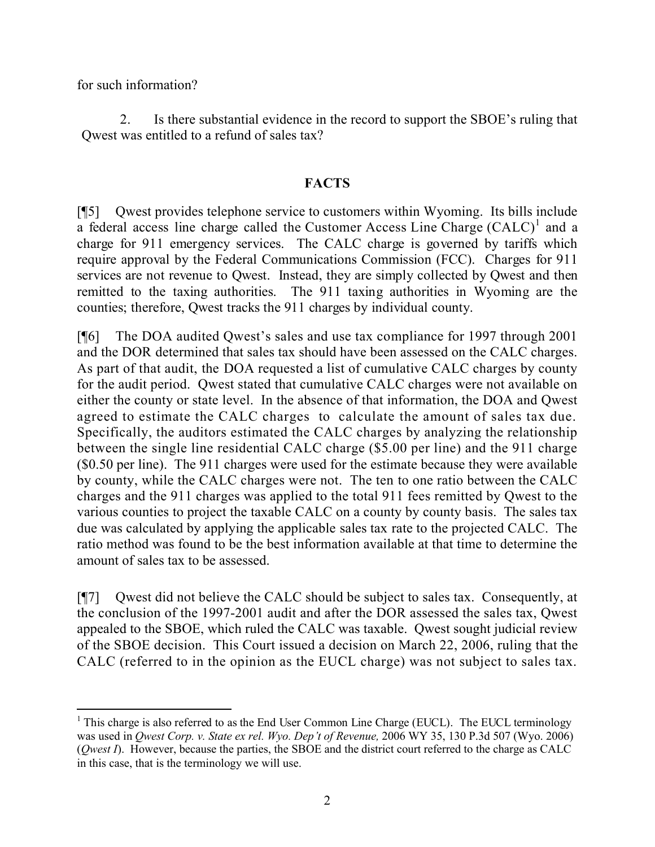for such information?

2. Is there substantial evidence in the record to support the SBOE's ruling that Qwest was entitled to a refund of sales tax?

## **FACTS**

[¶5] Qwest provides telephone service to customers within Wyoming. Its bills include a federal access line charge called the Customer Access Line Charge  $(CALC)^1$  and a charge for 911 emergency services. The CALC charge is governed by tariffs which require approval by the Federal Communications Commission (FCC). Charges for 911 services are not revenue to Qwest. Instead, they are simply collected by Qwest and then remitted to the taxing authorities. The 911 taxing authorities in Wyoming are the counties; therefore, Qwest tracks the 911 charges by individual county.

[¶6] The DOA audited Qwest's sales and use tax compliance for 1997 through 2001 and the DOR determined that sales tax should have been assessed on the CALC charges. As part of that audit, the DOA requested a list of cumulative CALC charges by county for the audit period. Qwest stated that cumulative CALC charges were not available on either the county or state level. In the absence of that information, the DOA and Qwest agreed to estimate the CALC charges to calculate the amount of sales tax due. Specifically, the auditors estimated the CALC charges by analyzing the relationship between the single line residential CALC charge (\$5.00 per line) and the 911 charge (\$0.50 per line). The 911 charges were used for the estimate because they were available by county, while the CALC charges were not. The ten to one ratio between the CALC charges and the 911 charges was applied to the total 911 fees remitted by Qwest to the various counties to project the taxable CALC on a county by county basis. The sales tax due was calculated by applying the applicable sales tax rate to the projected CALC. The ratio method was found to be the best information available at that time to determine the amount of sales tax to be assessed.

[¶7] Qwest did not believe the CALC should be subject to sales tax. Consequently, at the conclusion of the 1997-2001 audit and after the DOR assessed the sales tax, Qwest appealed to the SBOE, which ruled the CALC was taxable. Qwest sought judicial review of the SBOE decision. This Court issued a decision on March 22, 2006, ruling that the CALC (referred to in the opinion as the EUCL charge) was not subject to sales tax.

 $\overline{a}$ <sup>1</sup> This charge is also referred to as the End User Common Line Charge (EUCL). The EUCL terminology was used in *Qwest Corp. v. State ex rel. Wyo. Dep't of Revenue,* 2006 WY 35, 130 P.3d 507 (Wyo. 2006) (*Qwest I*). However, because the parties, the SBOE and the district court referred to the charge as CALC in this case, that is the terminology we will use.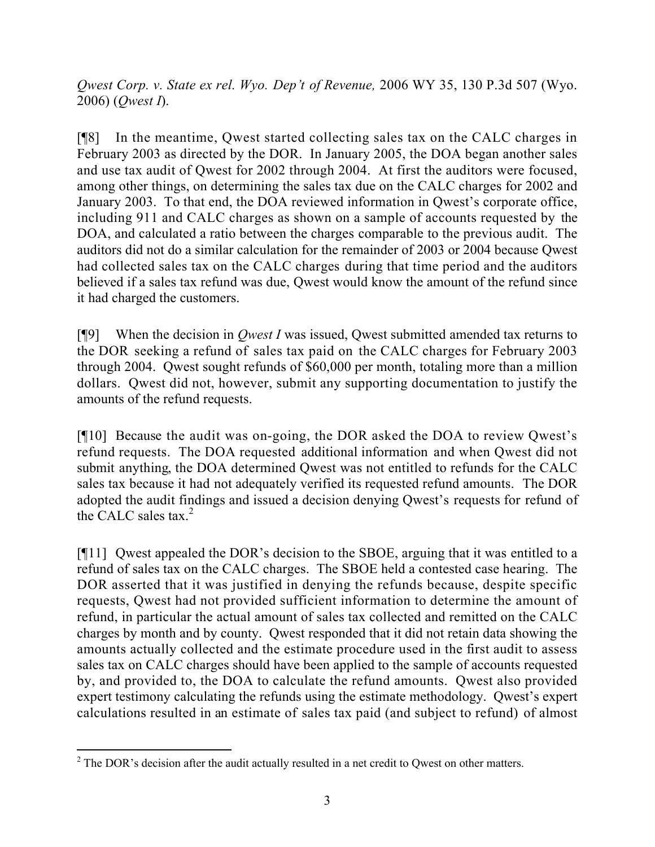*Qwest Corp. v. State ex rel. Wyo. Dep't of Revenue,* 2006 WY 35, 130 P.3d 507 (Wyo. 2006) (*Qwest I*).

[¶8] In the meantime, Qwest started collecting sales tax on the CALC charges in February 2003 as directed by the DOR. In January 2005, the DOA began another sales and use tax audit of Qwest for 2002 through 2004. At first the auditors were focused, among other things, on determining the sales tax due on the CALC charges for 2002 and January 2003. To that end, the DOA reviewed information in Qwest's corporate office, including 911 and CALC charges as shown on a sample of accounts requested by the DOA, and calculated a ratio between the charges comparable to the previous audit. The auditors did not do a similar calculation for the remainder of 2003 or 2004 because Qwest had collected sales tax on the CALC charges during that time period and the auditors believed if a sales tax refund was due, Qwest would know the amount of the refund since it had charged the customers.

[¶9] When the decision in *Qwest I* was issued, Qwest submitted amended tax returns to the DOR seeking a refund of sales tax paid on the CALC charges for February 2003 through 2004. Qwest sought refunds of \$60,000 per month, totaling more than a million dollars. Qwest did not, however, submit any supporting documentation to justify the amounts of the refund requests.

[¶10] Because the audit was on-going, the DOR asked the DOA to review Qwest's refund requests. The DOA requested additional information and when Qwest did not submit anything, the DOA determined Qwest was not entitled to refunds for the CALC sales tax because it had not adequately verified its requested refund amounts. The DOR adopted the audit findings and issued a decision denying Qwest's requests for refund of the CALC sales tax. $^{2}$ 

[¶11] Qwest appealed the DOR's decision to the SBOE, arguing that it was entitled to a refund of sales tax on the CALC charges. The SBOE held a contested case hearing. The DOR asserted that it was justified in denying the refunds because, despite specific requests, Qwest had not provided sufficient information to determine the amount of refund, in particular the actual amount of sales tax collected and remitted on the CALC charges by month and by county. Qwest responded that it did not retain data showing the amounts actually collected and the estimate procedure used in the first audit to assess sales tax on CALC charges should have been applied to the sample of accounts requested by, and provided to, the DOA to calculate the refund amounts. Qwest also provided expert testimony calculating the refunds using the estimate methodology. Qwest's expert calculations resulted in an estimate of sales tax paid (and subject to refund) of almost

 <sup>2</sup> The DOR's decision after the audit actually resulted in a net credit to Qwest on other matters.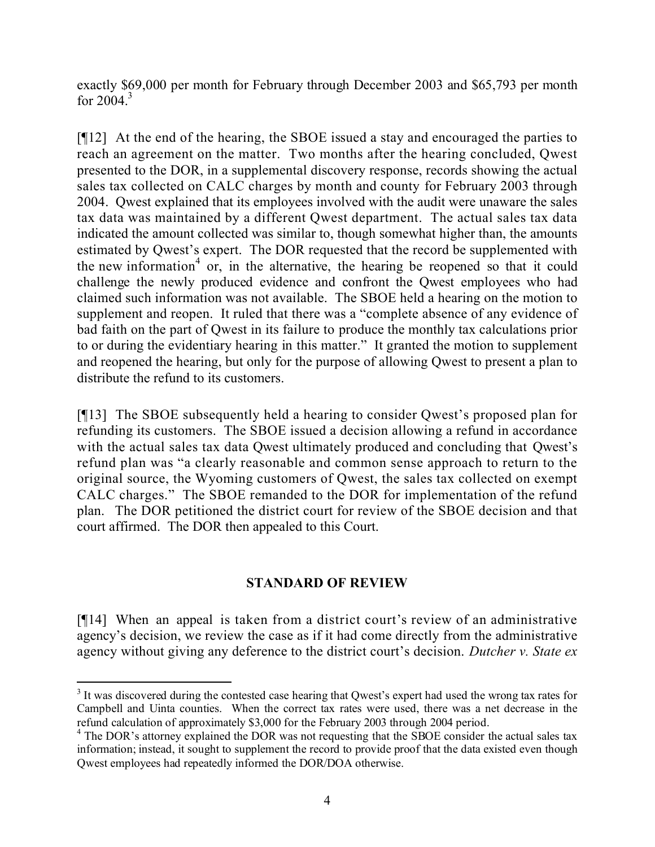exactly \$69,000 per month for February through December 2003 and \$65,793 per month for  $2004<sup>3</sup>$ 

[¶12] At the end of the hearing, the SBOE issued a stay and encouraged the parties to reach an agreement on the matter. Two months after the hearing concluded, Qwest presented to the DOR, in a supplemental discovery response, records showing the actual sales tax collected on CALC charges by month and county for February 2003 through 2004. Qwest explained that its employees involved with the audit were unaware the sales tax data was maintained by a different Qwest department. The actual sales tax data indicated the amount collected was similar to, though somewhat higher than, the amounts estimated by Qwest's expert. The DOR requested that the record be supplemented with the new information<sup>4</sup> or, in the alternative, the hearing be reopened so that it could challenge the newly produced evidence and confront the Qwest employees who had claimed such information was not available. The SBOE held a hearing on the motion to supplement and reopen. It ruled that there was a "complete absence of any evidence of bad faith on the part of Qwest in its failure to produce the monthly tax calculations prior to or during the evidentiary hearing in this matter." It granted the motion to supplement and reopened the hearing, but only for the purpose of allowing Qwest to present a plan to distribute the refund to its customers.

[¶13] The SBOE subsequently held a hearing to consider Qwest's proposed plan for refunding its customers. The SBOE issued a decision allowing a refund in accordance with the actual sales tax data Qwest ultimately produced and concluding that Qwest's refund plan was "a clearly reasonable and common sense approach to return to the original source, the Wyoming customers of Qwest, the sales tax collected on exempt CALC charges." The SBOE remanded to the DOR for implementation of the refund plan. The DOR petitioned the district court for review of the SBOE decision and that court affirmed. The DOR then appealed to this Court.

# **STANDARD OF REVIEW**

[¶14] When an appeal is taken from a district court's review of an administrative agency's decision, we review the case as if it had come directly from the administrative agency without giving any deference to the district court's decision. *Dutcher v. State ex* 

<sup>&</sup>lt;sup>3</sup> It was discovered during the contested case hearing that Qwest's expert had used the wrong tax rates for Campbell and Uinta counties. When the correct tax rates were used, there was a net decrease in the refund calculation of approximately \$3,000 for the February 2003 through 2004 period.

<sup>&</sup>lt;sup>4</sup> The DOR's attorney explained the DOR was not requesting that the SBOE consider the actual sales tax information; instead, it sought to supplement the record to provide proof that the data existed even though Qwest employees had repeatedly informed the DOR/DOA otherwise.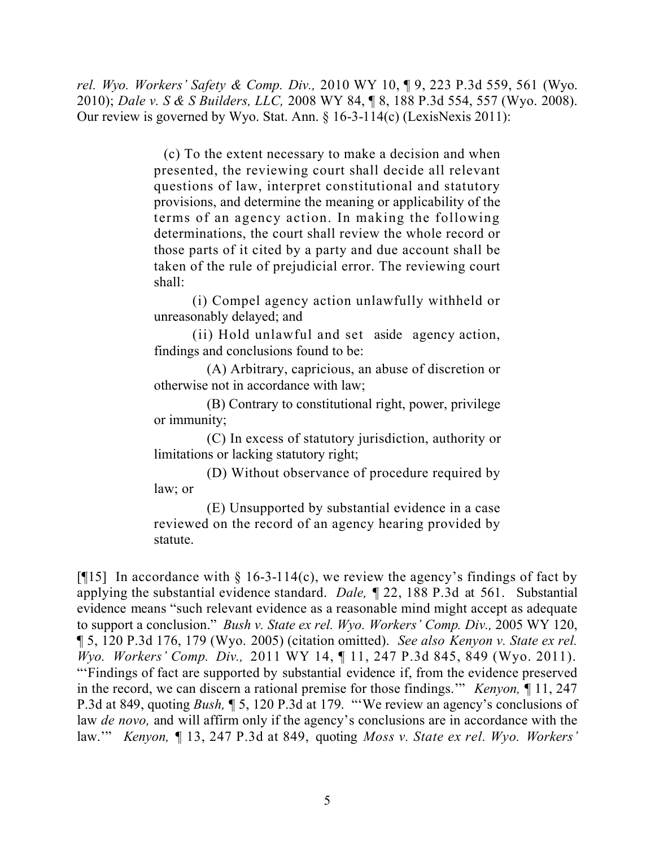*rel. Wyo. Workers' Safety & Comp. Div.,* 2010 WY 10, ¶ 9, 223 P.3d 559, 561 (Wyo. 2010); *Dale v. S & S Builders, LLC,* 2008 WY 84, ¶ 8, 188 P.3d 554, 557 (Wyo. 2008). Our review is governed by Wyo. Stat. Ann. § 16-3-114(c) (LexisNexis 2011):

> (c) To the extent necessary to make a decision and when presented, the reviewing court shall decide all relevant questions of law, interpret constitutional and statutory provisions, and determine the meaning or applicability of the terms of an agency action. In making the following determinations, the court shall review the whole record or those parts of it cited by a party and due account shall be taken of the rule of prejudicial error. The reviewing court shall:

> (i) Compel agency action unlawfully withheld or unreasonably delayed; and

> (ii) Hold unlawful and set aside agency action, findings and conclusions found to be:

> (A) Arbitrary, capricious, an abuse of discretion or otherwise not in accordance with law;

> (B) Contrary to constitutional right, power, privilege or immunity;

> (C) In excess of statutory jurisdiction, authority or limitations or lacking statutory right;

> (D) Without observance of procedure required by law; or

> (E) Unsupported by substantial evidence in a case reviewed on the record of an agency hearing provided by statute.

[ $[15]$ ] In accordance with § 16-3-114(c), we review the agency's findings of fact by applying the substantial evidence standard. *Dale,* ¶ 22, 188 P.3d at 561. Substantial evidence means "such relevant evidence as a reasonable mind might accept as adequate to support a conclusion." *Bush v. State ex rel. Wyo. Workers' Comp. Div.,* 2005 WY 120, ¶ 5, 120 P.3d 176, 179 (Wyo. 2005) (citation omitted). *See also Kenyon v. State ex rel. Wyo. Workers' Comp. Div.,* 2011 WY 14, ¶ 11, 247 P.3d 845, 849 (Wyo. 2011). "'Findings of fact are supported by substantial evidence if, from the evidence preserved in the record, we can discern a rational premise for those findings.'" *Kenyon,* ¶ 11, 247 P.3d at 849, quoting *Bush,* ¶ 5, 120 P.3d at 179. "'We review an agency's conclusions of law *de novo,* and will affirm only if the agency's conclusions are in accordance with the law.'" *Kenyon,* ¶ 13, 247 P.3d at 849, quoting *Moss v. State ex rel. Wyo. Workers'*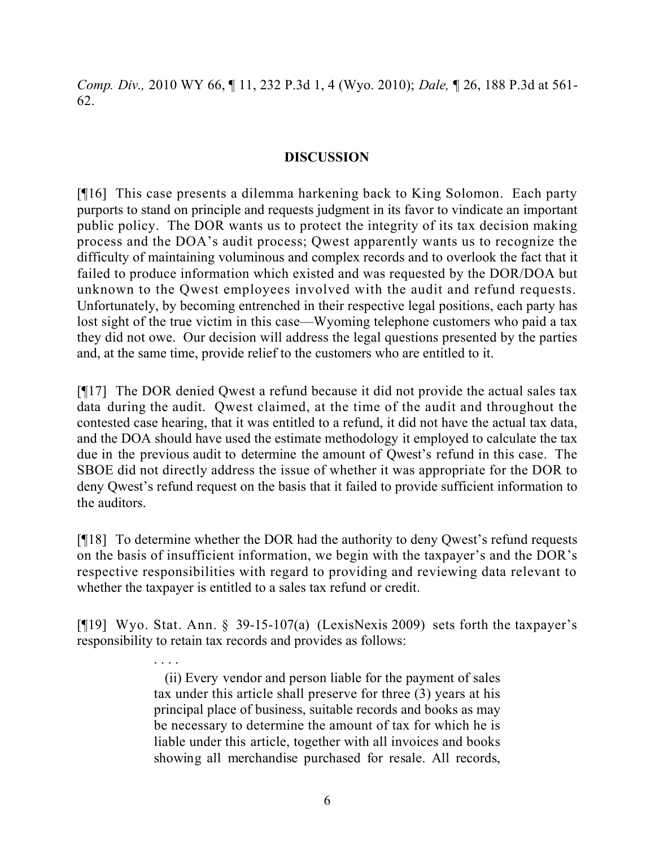*Comp. Div.,* 2010 WY 66, ¶ 11, 232 P.3d 1, 4 (Wyo. 2010); *Dale,* ¶ 26, 188 P.3d at 561- 62.

## **DISCUSSION**

[¶16] This case presents a dilemma harkening back to King Solomon. Each party purports to stand on principle and requests judgment in its favor to vindicate an important public policy. The DOR wants us to protect the integrity of its tax decision making process and the DOA's audit process; Qwest apparently wants us to recognize the difficulty of maintaining voluminous and complex records and to overlook the fact that it failed to produce information which existed and was requested by the DOR/DOA but unknown to the Qwest employees involved with the audit and refund requests. Unfortunately, by becoming entrenched in their respective legal positions, each party has lost sight of the true victim in this case—Wyoming telephone customers who paid a tax they did not owe. Our decision will address the legal questions presented by the parties and, at the same time, provide relief to the customers who are entitled to it.

[¶17] The DOR denied Qwest a refund because it did not provide the actual sales tax data during the audit. Qwest claimed, at the time of the audit and throughout the contested case hearing, that it was entitled to a refund, it did not have the actual tax data, and the DOA should have used the estimate methodology it employed to calculate the tax due in the previous audit to determine the amount of Qwest's refund in this case. The SBOE did not directly address the issue of whether it was appropriate for the DOR to deny Qwest's refund request on the basis that it failed to provide sufficient information to the auditors.

[¶18] To determine whether the DOR had the authority to deny Qwest's refund requests on the basis of insufficient information, we begin with the taxpayer's and the DOR's respective responsibilities with regard to providing and reviewing data relevant to whether the taxpayer is entitled to a sales tax refund or credit.

[¶19] Wyo. Stat. Ann. § 39-15-107(a) (LexisNexis 2009) sets forth the taxpayer's responsibility to retain tax records and provides as follows:

. . . .

 (ii) Every vendor and person liable for the payment of sales tax under this article shall preserve for three (3) years at his principal place of business, suitable records and books as may be necessary to determine the amount of tax for which he is liable under this article, together with all invoices and books showing all merchandise purchased for resale. All records,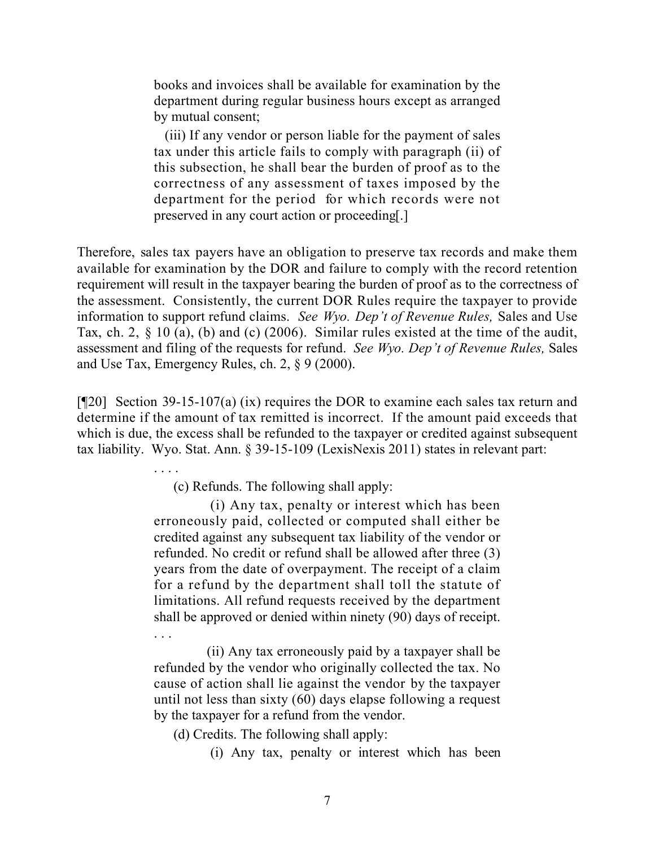books and invoices shall be available for examination by the department during regular business hours except as arranged by mutual consent;

 (iii) If any vendor or person liable for the payment of sales tax under this article fails to comply with paragraph (ii) of this subsection, he shall bear the burden of proof as to the correctness of any assessment of taxes imposed by the department for the period for which records were not preserved in any court action or proceeding[.]

Therefore, sales tax payers have an obligation to preserve tax records and make them available for examination by the DOR and failure to comply with the record retention requirement will result in the taxpayer bearing the burden of proof as to the correctness of the assessment. Consistently, the current DOR Rules require the taxpayer to provide information to support refund claims. *See Wyo. Dep't of Revenue Rules,* Sales and Use Tax, ch. 2, § 10 (a), (b) and (c) (2006). Similar rules existed at the time of the audit, assessment and filing of the requests for refund. *See Wyo. Dep't of Revenue Rules,* Sales and Use Tax, Emergency Rules, ch. 2, § 9 (2000).

[¶20] Section 39-15-107(a) (ix) requires the DOR to examine each sales tax return and determine if the amount of tax remitted is incorrect. If the amount paid exceeds that which is due, the excess shall be refunded to the taxpayer or credited against subsequent tax liability. Wyo. Stat. Ann. § 39-15-109 (LexisNexis 2011) states in relevant part:

. . . .

(c) Refunds. The following shall apply:

 (i) Any tax, penalty or interest which has been erroneously paid, collected or computed shall either be credited against any subsequent tax liability of the vendor or refunded. No credit or refund shall be allowed after three (3) years from the date of overpayment. The receipt of a claim for a refund by the department shall toll the statute of limitations. All refund requests received by the department shall be approved or denied within ninety (90) days of receipt. . . .

(ii) Any tax erroneously paid by a taxpayer shall be refunded by the vendor who originally collected the tax. No cause of action shall lie against the vendor by the taxpayer until not less than sixty (60) days elapse following a request by the taxpayer for a refund from the vendor.

(d) Credits. The following shall apply:

(i) Any tax, penalty or interest which has been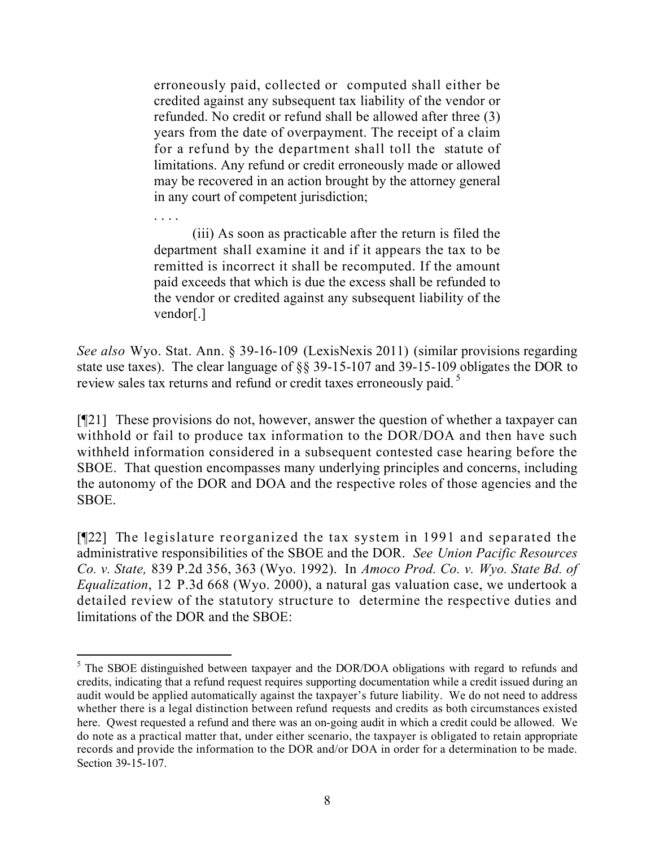erroneously paid, collected or computed shall either be credited against any subsequent tax liability of the vendor or refunded. No credit or refund shall be allowed after three (3) years from the date of overpayment. The receipt of a claim for a refund by the department shall toll the statute of limitations. Any refund or credit erroneously made or allowed may be recovered in an action brought by the attorney general in any court of competent jurisdiction;

(iii) As soon as practicable after the return is filed the department shall examine it and if it appears the tax to be remitted is incorrect it shall be recomputed. If the amount paid exceeds that which is due the excess shall be refunded to the vendor or credited against any subsequent liability of the vendor[.]

. . . .

 $\overline{a}$ 

*See also* Wyo. Stat. Ann. § 39-16-109 (LexisNexis 2011) (similar provisions regarding state use taxes). The clear language of §§ 39-15-107 and 39-15-109 obligates the DOR to review sales tax returns and refund or credit taxes erroneously paid.<sup>5</sup>

[¶21] These provisions do not, however, answer the question of whether a taxpayer can withhold or fail to produce tax information to the DOR/DOA and then have such withheld information considered in a subsequent contested case hearing before the SBOE. That question encompasses many underlying principles and concerns, including the autonomy of the DOR and DOA and the respective roles of those agencies and the SBOE.

[¶22] The legislature reorganized the tax system in 1991 and separated the administrative responsibilities of the SBOE and the DOR. *See Union Pacific Resources Co. v. State,* 839 P.2d 356, 363 (Wyo. 1992). In *Amoco Prod. Co. v. Wyo. State Bd. of Equalization*, 12 P.3d 668 (Wyo. 2000), a natural gas valuation case, we undertook a detailed review of the statutory structure to determine the respective duties and limitations of the DOR and the SBOE:

<sup>&</sup>lt;sup>5</sup> The SBOE distinguished between taxpayer and the DOR/DOA obligations with regard to refunds and credits, indicating that a refund request requires supporting documentation while a credit issued during an audit would be applied automatically against the taxpayer's future liability. We do not need to address whether there is a legal distinction between refund requests and credits as both circumstances existed here. Qwest requested a refund and there was an on-going audit in which a credit could be allowed. We do note as a practical matter that, under either scenario, the taxpayer is obligated to retain appropriate records and provide the information to the DOR and/or DOA in order for a determination to be made. Section 39-15-107.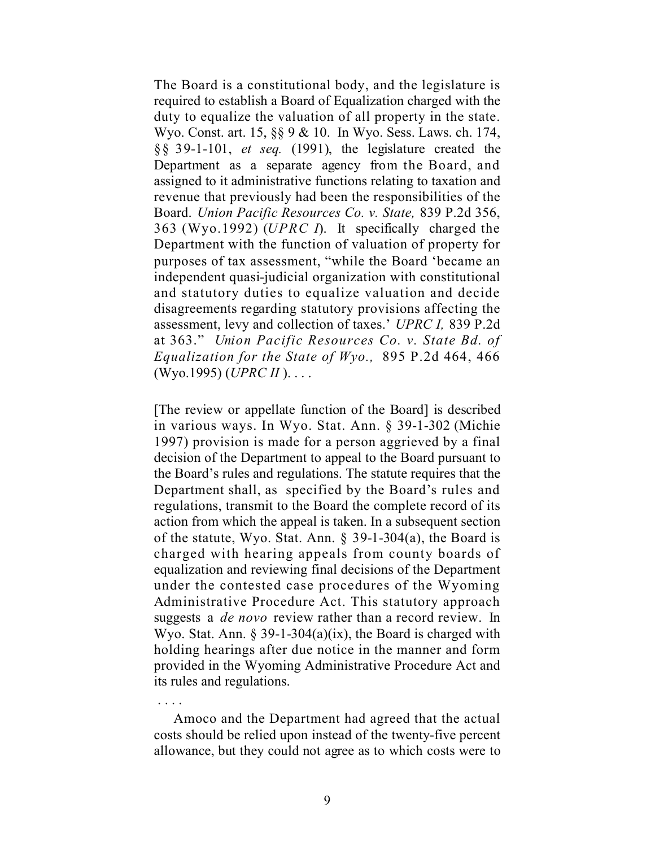The Board is a constitutional body, and the legislature is required to establish a Board of Equalization charged with the duty to equalize the valuation of all property in the state. Wyo. Const. art. 15, §§ 9 & 10. In Wyo. Sess. Laws. ch. 174, §§ 39-1-101, *et seq.* (1991), the legislature created the Department as a separate agency from the Board, and assigned to it administrative functions relating to taxation and revenue that previously had been the responsibilities of the Board. *Union Pacific Resources Co. v. State,* 839 P.2d 356, 363 (Wyo.1992) (*UPRC I*). It specifically charged the Department with the function of valuation of property for purposes of tax assessment, "while the Board 'became an independent quasi-judicial organization with constitutional and statutory duties to equalize valuation and decide disagreements regarding statutory provisions affecting the assessment, levy and collection of taxes.' *UPRC I,* 839 P.2d at 363." *Union Pacific Resources Co. v. State Bd. of Equalization for the State of Wyo.,* 895 P.2d 464, 466 (Wyo.1995) (*UPRC II* ). . . .

[The review or appellate function of the Board] is described in various ways. In Wyo. Stat. Ann. § 39-1-302 (Michie 1997) provision is made for a person aggrieved by a final decision of the Department to appeal to the Board pursuant to the Board's rules and regulations. The statute requires that the Department shall, as specified by the Board's rules and regulations, transmit to the Board the complete record of its action from which the appeal is taken. In a subsequent section of the statute, Wyo. Stat. Ann. § 39-1-304(a), the Board is charged with hearing appeals from county boards of equalization and reviewing final decisions of the Department under the contested case procedures of the Wyoming Administrative Procedure Act. This statutory approach suggests a *de novo* review rather than a record review. In Wyo. Stat. Ann.  $\S$  39-1-304(a)(ix), the Board is charged with holding hearings after due notice in the manner and form provided in the Wyoming Administrative Procedure Act and its rules and regulations.

Amoco and the Department had agreed that the actual costs should be relied upon instead of the twenty-five percent allowance, but they could not agree as to which costs were to

. . . .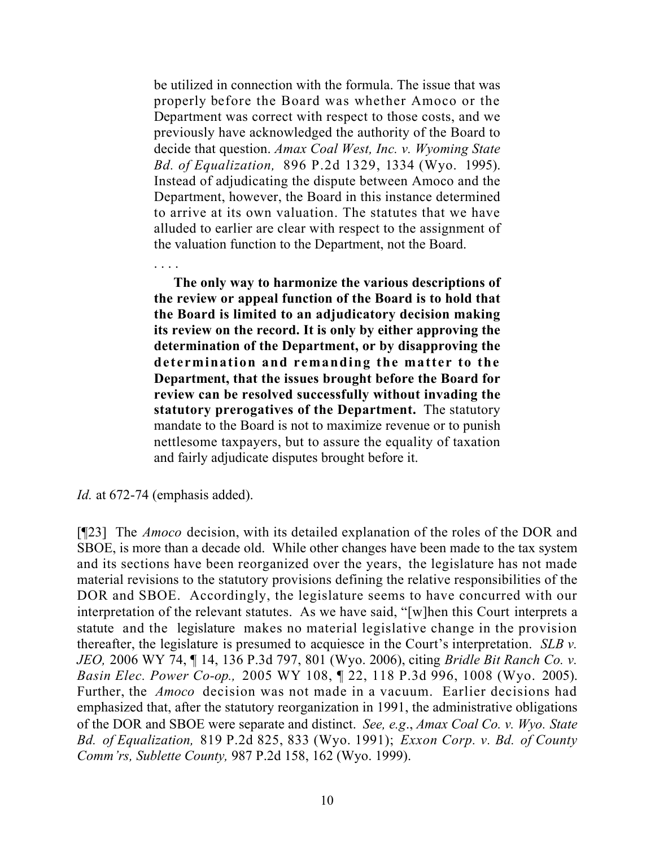be utilized in connection with the formula. The issue that was properly before the Board was whether Amoco or the Department was correct with respect to those costs, and we previously have acknowledged the authority of the Board to decide that question. *Amax Coal West, Inc. v. Wyoming State Bd. of Equalization,* 896 P.2d 1329, 1334 (Wyo. 1995). Instead of adjudicating the dispute between Amoco and the Department, however, the Board in this instance determined to arrive at its own valuation. The statutes that we have alluded to earlier are clear with respect to the assignment of the valuation function to the Department, not the Board.

**The only way to harmonize the various descriptions of the review or appeal function of the Board is to hold that the Board is limited to an adjudicatory decision making its review on the record. It is only by either approving the determination of the Department, or by disapproving the determination and remanding the matter to the Department, that the issues brought before the Board for review can be resolved successfully without invading the statutory prerogatives of the Department.** The statutory mandate to the Board is not to maximize revenue or to punish nettlesome taxpayers, but to assure the equality of taxation and fairly adjudicate disputes brought before it.

. . . .

[¶23] The *Amoco* decision, with its detailed explanation of the roles of the DOR and SBOE, is more than a decade old. While other changes have been made to the tax system and its sections have been reorganized over the years, the legislature has not made material revisions to the statutory provisions defining the relative responsibilities of the DOR and SBOE. Accordingly, the legislature seems to have concurred with our interpretation of the relevant statutes. As we have said, "[w]hen this Court interprets a statute and the legislature makes no material legislative change in the provision thereafter, the legislature is presumed to acquiesce in the Court's interpretation. *SLB v. JEO,* 2006 WY 74, ¶ 14, 136 P.3d 797, 801 (Wyo. 2006), citing *Bridle Bit Ranch Co. v. Basin Elec. Power Co-op.,* 2005 WY 108, ¶ 22, 118 P.3d 996, 1008 (Wyo. 2005). Further, the *Amoco* decision was not made in a vacuum. Earlier decisions had emphasized that, after the statutory reorganization in 1991, the administrative obligations of the DOR and SBOE were separate and distinct. *See, e.g*., *Amax Coal Co. v. Wyo. State Bd. of Equalization,* 819 P.2d 825, 833 (Wyo. 1991); *Exxon Corp. v. Bd. of County Comm'rs, Sublette County,* 987 P.2d 158, 162 (Wyo. 1999).

*Id.* at 672-74 (emphasis added).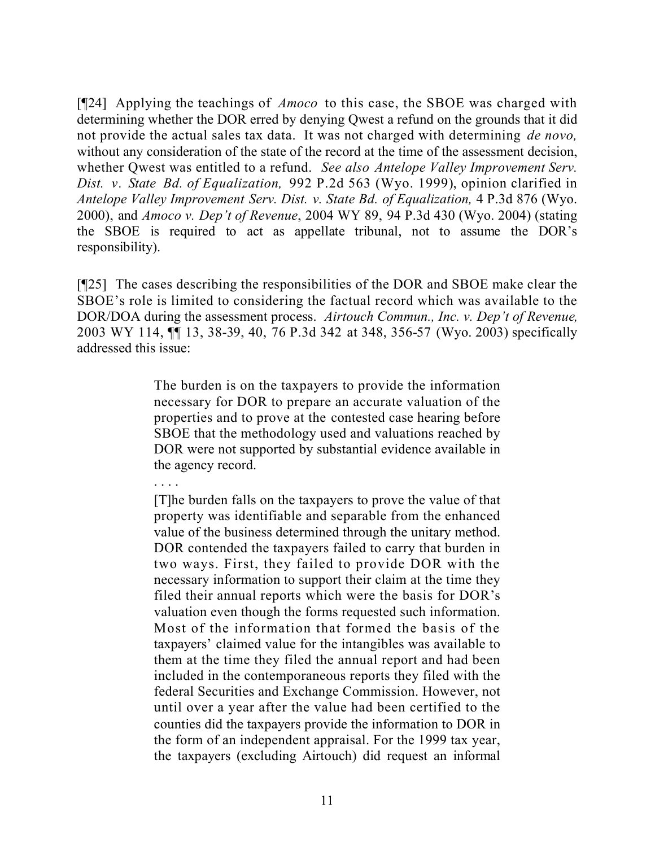[¶24] Applying the teachings of *Amoco* to this case, the SBOE was charged with determining whether the DOR erred by denying Qwest a refund on the grounds that it did not provide the actual sales tax data. It was not charged with determining *de novo,*  without any consideration of the state of the record at the time of the assessment decision, whether Qwest was entitled to a refund. *See also Antelope Valley Improvement Serv. Dist. v. State Bd. of Equalization,* 992 P.2d 563 (Wyo. 1999), opinion clarified in *Antelope Valley Improvement Serv. Dist. v. State Bd. of Equalization,* 4 P.3d 876 (Wyo. 2000), and *Amoco v. Dep't of Revenue*, 2004 WY 89, 94 P.3d 430 (Wyo. 2004) (stating the SBOE is required to act as appellate tribunal, not to assume the DOR's responsibility).

[¶25] The cases describing the responsibilities of the DOR and SBOE make clear the SBOE's role is limited to considering the factual record which was available to the DOR/DOA during the assessment process. *Airtouch Commun., Inc. v. Dep't of Revenue,*  2003 WY 114, ¶¶ 13, 38-39, 40, 76 P.3d 342 at 348, 356-57 (Wyo. 2003) specifically addressed this issue:

> The burden is on the taxpayers to provide the information necessary for DOR to prepare an accurate valuation of the properties and to prove at the contested case hearing before SBOE that the methodology used and valuations reached by DOR were not supported by substantial evidence available in the agency record.

. . . . [T]he burden falls on the taxpayers to prove the value of that property was identifiable and separable from the enhanced value of the business determined through the unitary method. DOR contended the taxpayers failed to carry that burden in two ways. First, they failed to provide DOR with the necessary information to support their claim at the time they filed their annual reports which were the basis for DOR's valuation even though the forms requested such information. Most of the information that formed the basis of the taxpayers' claimed value for the intangibles was available to them at the time they filed the annual report and had been included in the contemporaneous reports they filed with the federal Securities and Exchange Commission. However, not until over a year after the value had been certified to the counties did the taxpayers provide the information to DOR in the form of an independent appraisal. For the 1999 tax year, the taxpayers (excluding Airtouch) did request an informal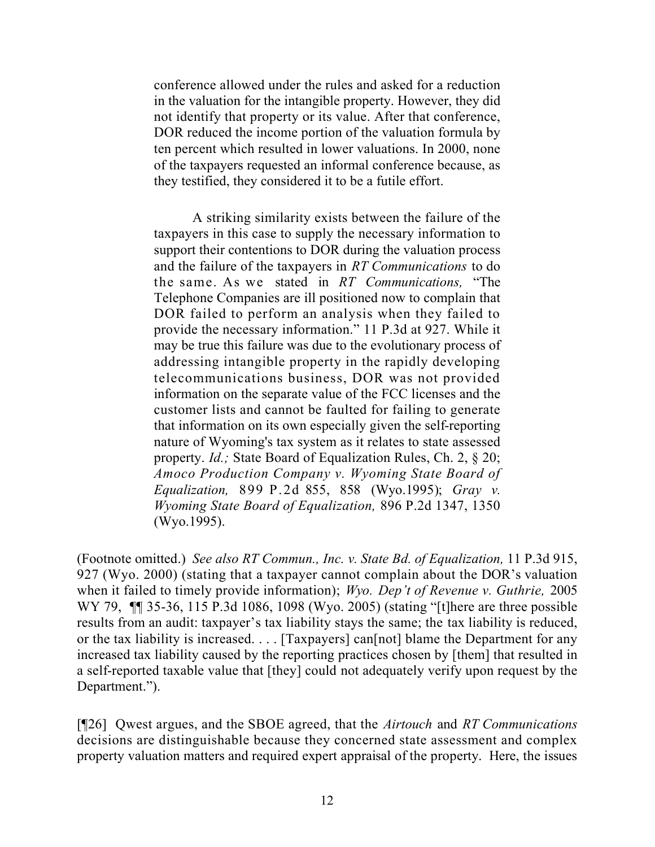conference allowed under the rules and asked for a reduction in the valuation for the intangible property. However, they did not identify that property or its value. After that conference, DOR reduced the income portion of the valuation formula by ten percent which resulted in lower valuations. In 2000, none of the taxpayers requested an informal conference because, as they testified, they considered it to be a futile effort.

A striking similarity exists between the failure of the taxpayers in this case to supply the necessary information to support their contentions to DOR during the valuation process and the failure of the taxpayers in *RT Communications* to do the same. As we stated in *RT Communications,* "The Telephone Companies are ill positioned now to complain that DOR failed to perform an analysis when they failed to provide the necessary information." 11 P.3d at 927. While it may be true this failure was due to the evolutionary process of addressing intangible property in the rapidly developing telecommunications business, DOR was not provided information on the separate value of the FCC licenses and the customer lists and cannot be faulted for failing to generate that information on its own especially given the self-reporting nature of Wyoming's tax system as it relates to state assessed property. *Id.;* State Board of Equalization Rules, Ch. 2, § 20; *Amoco Production Company v. Wyoming State Board of Equalization,* 899 P.2d 855, 858 (Wyo.1995); *Gray v. Wyoming State Board of Equalization,* 896 P.2d 1347, 1350 (Wyo.1995).

(Footnote omitted.) *See also RT Commun., Inc. v. State Bd. of Equalization,* 11 P.3d 915, 927 (Wyo. 2000) (stating that a taxpayer cannot complain about the DOR's valuation when it failed to timely provide information); *Wyo. Dep't of Revenue v. Guthrie,* 2005 WY 79, **[1]** 35-36, 115 P.3d 1086, 1098 (Wyo. 2005) (stating "[t] here are three possible results from an audit: taxpayer's tax liability stays the same; the tax liability is reduced, or the tax liability is increased. . . . [Taxpayers] can[not] blame the Department for any increased tax liability caused by the reporting practices chosen by [them] that resulted in a self-reported taxable value that [they] could not adequately verify upon request by the Department.").

[¶26] Qwest argues, and the SBOE agreed, that the *Airtouch* and *RT Communications*  decisions are distinguishable because they concerned state assessment and complex property valuation matters and required expert appraisal of the property. Here, the issues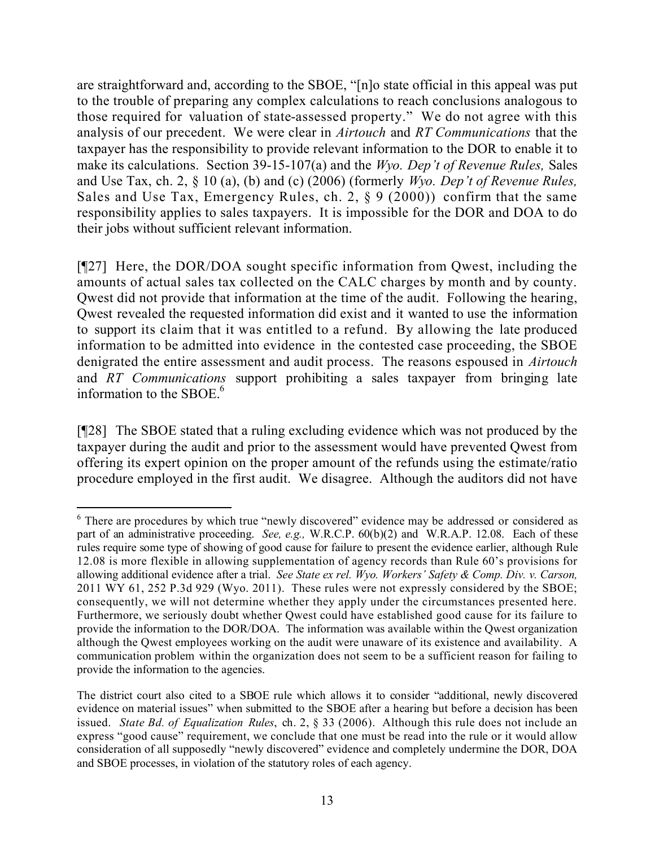are straightforward and, according to the SBOE, "[n]o state official in this appeal was put to the trouble of preparing any complex calculations to reach conclusions analogous to those required for valuation of state-assessed property." We do not agree with this analysis of our precedent. We were clear in *Airtouch* and *RT Communications* that the taxpayer has the responsibility to provide relevant information to the DOR to enable it to make its calculations. Section 39-15-107(a) and the *Wyo. Dep't of Revenue Rules,* Sales and Use Tax, ch. 2, § 10 (a), (b) and (c) (2006) (formerly *Wyo. Dep't of Revenue Rules,*  Sales and Use Tax, Emergency Rules, ch. 2, § 9 (2000)) confirm that the same responsibility applies to sales taxpayers. It is impossible for the DOR and DOA to do their jobs without sufficient relevant information.

[¶27] Here, the DOR/DOA sought specific information from Qwest, including the amounts of actual sales tax collected on the CALC charges by month and by county. Qwest did not provide that information at the time of the audit. Following the hearing, Qwest revealed the requested information did exist and it wanted to use the information to support its claim that it was entitled to a refund. By allowing the late produced information to be admitted into evidence in the contested case proceeding, the SBOE denigrated the entire assessment and audit process. The reasons espoused in *Airtouch*  and *RT Communications* support prohibiting a sales taxpayer from bringing late information to the SBOE.<sup>6</sup>

[¶28] The SBOE stated that a ruling excluding evidence which was not produced by the taxpayer during the audit and prior to the assessment would have prevented Qwest from offering its expert opinion on the proper amount of the refunds using the estimate/ratio procedure employed in the first audit. We disagree. Although the auditors did not have

 $\overline{a}$ <sup>6</sup> There are procedures by which true "newly discovered" evidence may be addressed or considered as part of an administrative proceeding. *See, e.g.,* W.R.C.P. 60(b)(2) and W.R.A.P. 12.08. Each of these rules require some type of showing of good cause for failure to present the evidence earlier, although Rule 12.08 is more flexible in allowing supplementation of agency records than Rule 60's provisions for allowing additional evidence after a trial. *See State ex rel. Wyo. Workers' Safety & Comp. Div. v. Carson,*  2011 WY 61, 252 P.3d 929 (Wyo. 2011). These rules were not expressly considered by the SBOE; consequently, we will not determine whether they apply under the circumstances presented here. Furthermore, we seriously doubt whether Qwest could have established good cause for its failure to provide the information to the DOR/DOA. The information was available within the Qwest organization although the Qwest employees working on the audit were unaware of its existence and availability. A communication problem within the organization does not seem to be a sufficient reason for failing to provide the information to the agencies.

The district court also cited to a SBOE rule which allows it to consider "additional, newly discovered evidence on material issues" when submitted to the SBOE after a hearing but before a decision has been issued. *State Bd. of Equalization Rules*, ch. 2, § 33 (2006). Although this rule does not include an express "good cause" requirement, we conclude that one must be read into the rule or it would allow consideration of all supposedly "newly discovered" evidence and completely undermine the DOR, DOA and SBOE processes, in violation of the statutory roles of each agency.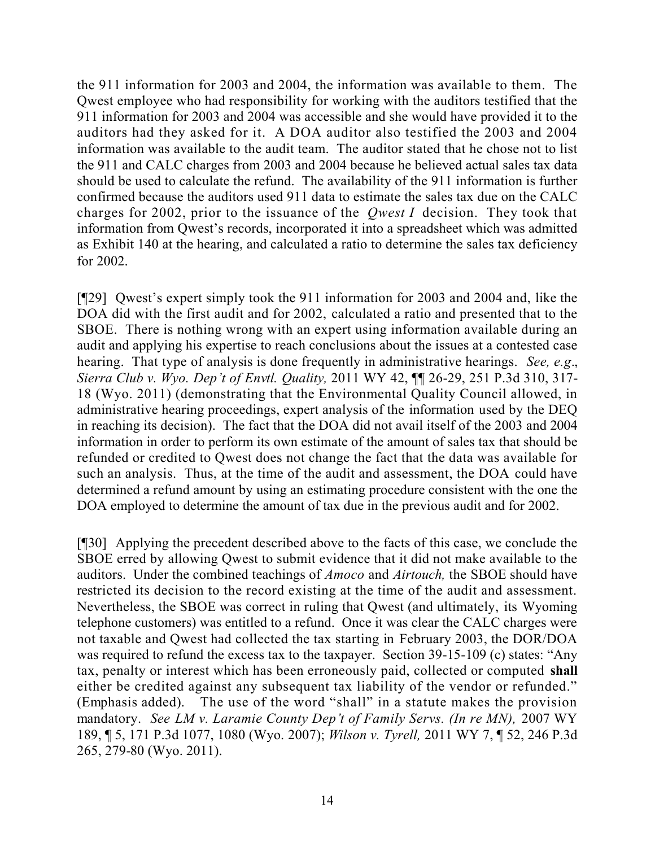the 911 information for 2003 and 2004, the information was available to them. The Qwest employee who had responsibility for working with the auditors testified that the 911 information for 2003 and 2004 was accessible and she would have provided it to the auditors had they asked for it. A DOA auditor also testified the 2003 and 2004 information was available to the audit team. The auditor stated that he chose not to list the 911 and CALC charges from 2003 and 2004 because he believed actual sales tax data should be used to calculate the refund. The availability of the 911 information is further confirmed because the auditors used 911 data to estimate the sales tax due on the CALC charges for 2002, prior to the issuance of the *Qwest I* decision. They took that information from Qwest's records, incorporated it into a spreadsheet which was admitted as Exhibit 140 at the hearing, and calculated a ratio to determine the sales tax deficiency for 2002.

[¶29] Qwest's expert simply took the 911 information for 2003 and 2004 and, like the DOA did with the first audit and for 2002, calculated a ratio and presented that to the SBOE. There is nothing wrong with an expert using information available during an audit and applying his expertise to reach conclusions about the issues at a contested case hearing. That type of analysis is done frequently in administrative hearings. *See, e.g*., *Sierra Club v. Wyo. Dep't of Envtl. Quality,* 2011 WY 42, ¶¶ 26-29, 251 P.3d 310, 317- 18 (Wyo. 2011) (demonstrating that the Environmental Quality Council allowed, in administrative hearing proceedings, expert analysis of the information used by the DEQ in reaching its decision). The fact that the DOA did not avail itself of the 2003 and 2004 information in order to perform its own estimate of the amount of sales tax that should be refunded or credited to Qwest does not change the fact that the data was available for such an analysis. Thus, at the time of the audit and assessment, the DOA could have determined a refund amount by using an estimating procedure consistent with the one the DOA employed to determine the amount of tax due in the previous audit and for 2002.

[¶30] Applying the precedent described above to the facts of this case, we conclude the SBOE erred by allowing Qwest to submit evidence that it did not make available to the auditors. Under the combined teachings of *Amoco* and *Airtouch,* the SBOE should have restricted its decision to the record existing at the time of the audit and assessment. Nevertheless, the SBOE was correct in ruling that Qwest (and ultimately, its Wyoming telephone customers) was entitled to a refund. Once it was clear the CALC charges were not taxable and Qwest had collected the tax starting in February 2003, the DOR/DOA was required to refund the excess tax to the taxpayer. Section 39-15-109 (c) states: "Any tax, penalty or interest which has been erroneously paid, collected or computed **shall** either be credited against any subsequent tax liability of the vendor or refunded." (Emphasis added). The use of the word "shall" in a statute makes the provision mandatory. *See LM v. Laramie County Dep't of Family Servs. (In re MN),* 2007 WY 189, ¶ 5, 171 P.3d 1077, 1080 (Wyo. 2007); *Wilson v. Tyrell,* 2011 WY 7, ¶ 52, 246 P.3d 265, 279-80 (Wyo. 2011).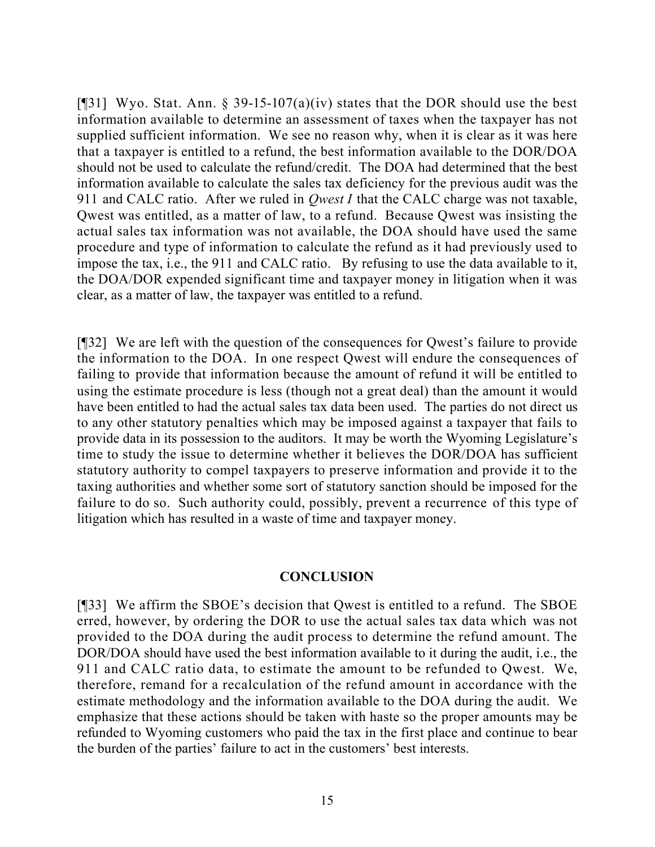[¶31] Wyo. Stat. Ann. § 39-15-107(a)(iv) states that the DOR should use the best information available to determine an assessment of taxes when the taxpayer has not supplied sufficient information. We see no reason why, when it is clear as it was here that a taxpayer is entitled to a refund, the best information available to the DOR/DOA should not be used to calculate the refund/credit. The DOA had determined that the best information available to calculate the sales tax deficiency for the previous audit was the 911 and CALC ratio. After we ruled in *Qwest I* that the CALC charge was not taxable, Qwest was entitled, as a matter of law, to a refund. Because Qwest was insisting the actual sales tax information was not available, the DOA should have used the same procedure and type of information to calculate the refund as it had previously used to impose the tax, i.e., the 911 and CALC ratio. By refusing to use the data available to it, the DOA/DOR expended significant time and taxpayer money in litigation when it was clear, as a matter of law, the taxpayer was entitled to a refund.

[¶32] We are left with the question of the consequences for Qwest's failure to provide the information to the DOA. In one respect Qwest will endure the consequences of failing to provide that information because the amount of refund it will be entitled to using the estimate procedure is less (though not a great deal) than the amount it would have been entitled to had the actual sales tax data been used. The parties do not direct us to any other statutory penalties which may be imposed against a taxpayer that fails to provide data in its possession to the auditors. It may be worth the Wyoming Legislature's time to study the issue to determine whether it believes the DOR/DOA has sufficient statutory authority to compel taxpayers to preserve information and provide it to the taxing authorities and whether some sort of statutory sanction should be imposed for the failure to do so. Such authority could, possibly, prevent a recurrence of this type of litigation which has resulted in a waste of time and taxpayer money.

## **CONCLUSION**

[¶33] We affirm the SBOE's decision that Qwest is entitled to a refund. The SBOE erred, however, by ordering the DOR to use the actual sales tax data which was not provided to the DOA during the audit process to determine the refund amount. The DOR/DOA should have used the best information available to it during the audit, i.e., the 911 and CALC ratio data, to estimate the amount to be refunded to Qwest. We, therefore, remand for a recalculation of the refund amount in accordance with the estimate methodology and the information available to the DOA during the audit. We emphasize that these actions should be taken with haste so the proper amounts may be refunded to Wyoming customers who paid the tax in the first place and continue to bear the burden of the parties' failure to act in the customers' best interests.